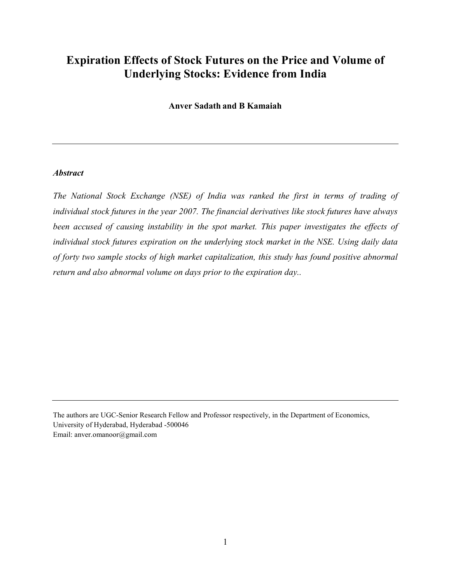# Expiration Effects of Stock Futures on the Price and Volume of Underlying Stocks: Evidence from India

Anver Sadath and B Kamaiah

#### **Abstract**

The National Stock Exchange (NSE) of India was ranked the first in terms of trading of individual stock futures in the year 2007. The financial derivatives like stock futures have always been accused of causing instability in the spot market. This paper investigates the effects of individual stock futures expiration on the underlying stock market in the NSE. Using daily data of forty two sample stocks of high market capitalization, this study has found positive abnormal return and also abnormal volume on days prior to the expiration day..

The authors are UGC-Senior Research Fellow and Professor respectively, in the Department of Economics, University of Hyderabad, Hyderabad -500046 Email: anver.omanoor@gmail.com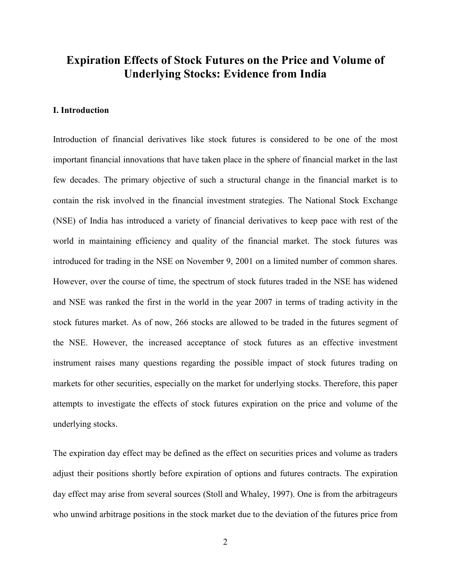## Expiration Effects of Stock Futures on the Price and Volume of Underlying Stocks: Evidence from India

### I. Introduction

Introduction of financial derivatives like stock futures is considered to be one of the most important financial innovations that have taken place in the sphere of financial market in the last few decades. The primary objective of such a structural change in the financial market is to contain the risk involved in the financial investment strategies. The National Stock Exchange (NSE) of India has introduced a variety of financial derivatives to keep pace with rest of the world in maintaining efficiency and quality of the financial market. The stock futures was introduced for trading in the NSE on November 9, 2001 on a limited number of common shares. However, over the course of time, the spectrum of stock futures traded in the NSE has widened and NSE was ranked the first in the world in the year 2007 in terms of trading activity in the stock futures market. As of now, 266 stocks are allowed to be traded in the futures segment of the NSE. However, the increased acceptance of stock futures as an effective investment instrument raises many questions regarding the possible impact of stock futures trading on markets for other securities, especially on the market for underlying stocks. Therefore, this paper attempts to investigate the effects of stock futures expiration on the price and volume of the underlying stocks.

The expiration day effect may be defined as the effect on securities prices and volume as traders adjust their positions shortly before expiration of options and futures contracts. The expiration day effect may arise from several sources (Stoll and Whaley, 1997). One is from the arbitrageurs who unwind arbitrage positions in the stock market due to the deviation of the futures price from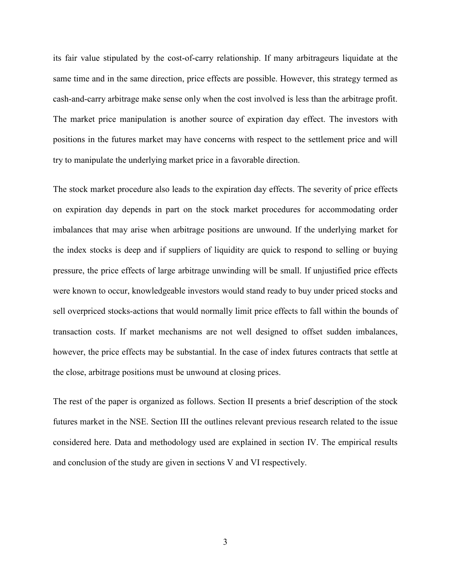its fair value stipulated by the cost-of-carry relationship. If many arbitrageurs liquidate at the same time and in the same direction, price effects are possible. However, this strategy termed as cash-and-carry arbitrage make sense only when the cost involved is less than the arbitrage profit. The market price manipulation is another source of expiration day effect. The investors with positions in the futures market may have concerns with respect to the settlement price and will try to manipulate the underlying market price in a favorable direction.

The stock market procedure also leads to the expiration day effects. The severity of price effects on expiration day depends in part on the stock market procedures for accommodating order imbalances that may arise when arbitrage positions are unwound. If the underlying market for the index stocks is deep and if suppliers of liquidity are quick to respond to selling or buying pressure, the price effects of large arbitrage unwinding will be small. If unjustified price effects were known to occur, knowledgeable investors would stand ready to buy under priced stocks and sell overpriced stocks-actions that would normally limit price effects to fall within the bounds of transaction costs. If market mechanisms are not well designed to offset sudden imbalances, however, the price effects may be substantial. In the case of index futures contracts that settle at the close, arbitrage positions must be unwound at closing prices.

The rest of the paper is organized as follows. Section II presents a brief description of the stock futures market in the NSE. Section III the outlines relevant previous research related to the issue considered here. Data and methodology used are explained in section IV. The empirical results and conclusion of the study are given in sections V and VI respectively.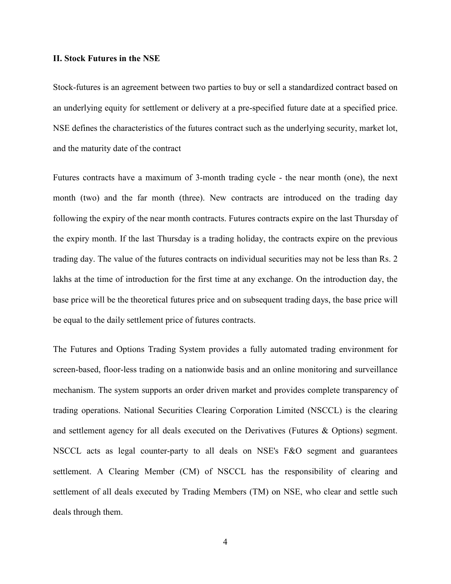#### II. Stock Futures in the NSE

Stock-futures is an agreement between two parties to buy or sell a standardized contract based on an underlying equity for settlement or delivery at a pre-specified future date at a specified price. NSE defines the characteristics of the futures contract such as the underlying security, market lot, and the maturity date of the contract

Futures contracts have a maximum of 3-month trading cycle - the near month (one), the next month (two) and the far month (three). New contracts are introduced on the trading day following the expiry of the near month contracts. Futures contracts expire on the last Thursday of the expiry month. If the last Thursday is a trading holiday, the contracts expire on the previous trading day. The value of the futures contracts on individual securities may not be less than Rs. 2 lakhs at the time of introduction for the first time at any exchange. On the introduction day, the base price will be the theoretical futures price and on subsequent trading days, the base price will be equal to the daily settlement price of futures contracts.

The Futures and Options Trading System provides a fully automated trading environment for screen-based, floor-less trading on a nationwide basis and an online monitoring and surveillance mechanism. The system supports an order driven market and provides complete transparency of trading operations. National Securities Clearing Corporation Limited (NSCCL) is the clearing and settlement agency for all deals executed on the Derivatives (Futures & Options) segment. NSCCL acts as legal counter-party to all deals on NSE's F&O segment and guarantees settlement. A Clearing Member (CM) of NSCCL has the responsibility of clearing and settlement of all deals executed by Trading Members (TM) on NSE, who clear and settle such deals through them.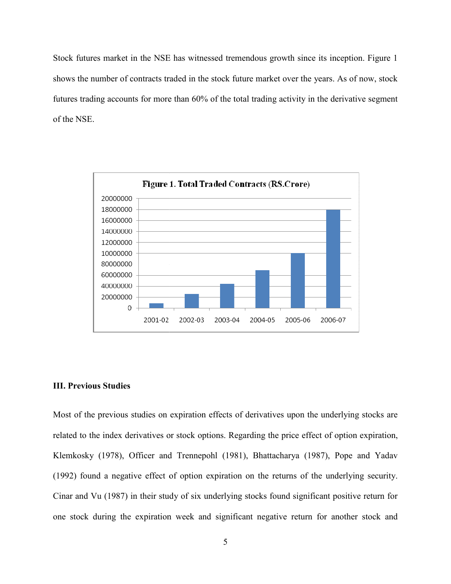Stock futures market in the NSE has witnessed tremendous growth since its inception. F shows the number of contracts traded in the stock future market over the years. As of now, stock shows the number of contracts traded in the stock future market over the years. As of now, stock<br>futures trading accounts for more than 60% of the total trading activity in the derivative segment of the NSE.



#### III. Previous Studies

Most of the previous studies on expiration effects of derivatives upon the underlying stocks are Most of the previous studies on expiration effects of derivatives upon the underlying stocks are<br>related to the index derivatives or stock options. Regarding the price effect of option expiration, Klemkosky (1978), Officer and Trennepohl (1981), Bhattacharya (1987), Pope and Yadav (1992) found a negative effect of option expiration on the returns of the underlying security. Cinar and Vu (1987) in their study of six underlying stocks found significant positive return for one stock during the expiration week and significant negative return for another stock and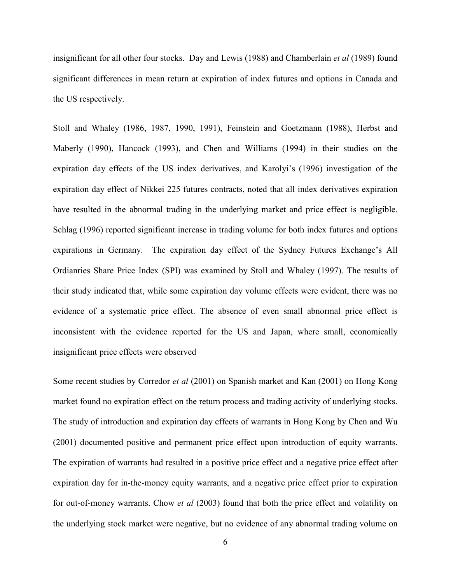insignificant for all other four stocks. Day and Lewis (1988) and Chamberlain et al (1989) found significant differences in mean return at expiration of index futures and options in Canada and the US respectively.

Stoll and Whaley (1986, 1987, 1990, 1991), Feinstein and Goetzmann (1988), Herbst and Maberly (1990), Hancock (1993), and Chen and Williams (1994) in their studies on the expiration day effects of the US index derivatives, and Karolyi's (1996) investigation of the expiration day effect of Nikkei 225 futures contracts, noted that all index derivatives expiration have resulted in the abnormal trading in the underlying market and price effect is negligible. Schlag (1996) reported significant increase in trading volume for both index futures and options expirations in Germany. The expiration day effect of the Sydney Futures Exchange's All Ordianries Share Price Index (SPI) was examined by Stoll and Whaley (1997). The results of their study indicated that, while some expiration day volume effects were evident, there was no evidence of a systematic price effect. The absence of even small abnormal price effect is inconsistent with the evidence reported for the US and Japan, where small, economically insignificant price effects were observed

Some recent studies by Corredor et al (2001) on Spanish market and Kan (2001) on Hong Kong market found no expiration effect on the return process and trading activity of underlying stocks. The study of introduction and expiration day effects of warrants in Hong Kong by Chen and Wu (2001) documented positive and permanent price effect upon introduction of equity warrants. The expiration of warrants had resulted in a positive price effect and a negative price effect after expiration day for in-the-money equity warrants, and a negative price effect prior to expiration for out-of-money warrants. Chow et al (2003) found that both the price effect and volatility on the underlying stock market were negative, but no evidence of any abnormal trading volume on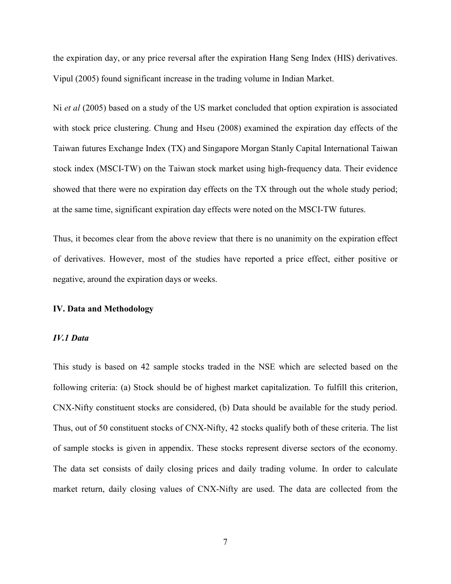the expiration day, or any price reversal after the expiration Hang Seng Index (HIS) derivatives. Vipul (2005) found significant increase in the trading volume in Indian Market.

Ni et al (2005) based on a study of the US market concluded that option expiration is associated with stock price clustering. Chung and Hseu (2008) examined the expiration day effects of the Taiwan futures Exchange Index (TX) and Singapore Morgan Stanly Capital International Taiwan stock index (MSCI-TW) on the Taiwan stock market using high-frequency data. Their evidence showed that there were no expiration day effects on the TX through out the whole study period; at the same time, significant expiration day effects were noted on the MSCI-TW futures.

Thus, it becomes clear from the above review that there is no unanimity on the expiration effect of derivatives. However, most of the studies have reported a price effect, either positive or negative, around the expiration days or weeks.

#### IV. Data and Methodology

#### IV.1 Data

This study is based on 42 sample stocks traded in the NSE which are selected based on the following criteria: (a) Stock should be of highest market capitalization. To fulfill this criterion, CNX-Nifty constituent stocks are considered, (b) Data should be available for the study period. Thus, out of 50 constituent stocks of CNX-Nifty, 42 stocks qualify both of these criteria. The list of sample stocks is given in appendix. These stocks represent diverse sectors of the economy. The data set consists of daily closing prices and daily trading volume. In order to calculate market return, daily closing values of CNX-Nifty are used. The data are collected from the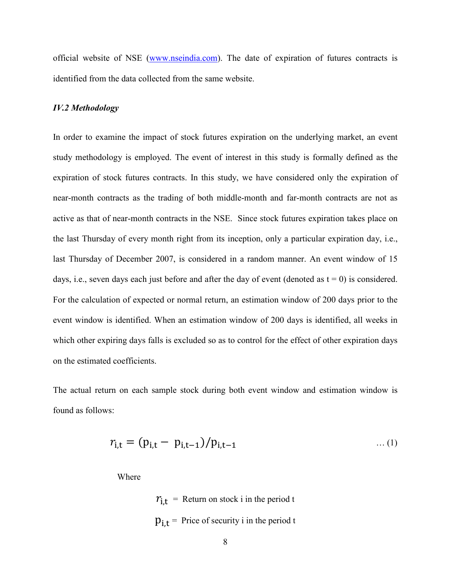official website of NSE (www.nseindia.com). The date of expiration of futures contracts is identified from the data collected from the same website.

#### IV.2 Methodology

In order to examine the impact of stock futures expiration on the underlying market, an event study methodology is employed. The event of interest in this study is formally defined as the expiration of stock futures contracts. In this study, we have considered only the expiration of near-month contracts as the trading of both middle-month and far-month contracts are not as active as that of near-month contracts in the NSE. Since stock futures expiration takes place on the last Thursday of every month right from its inception, only a particular expiration day, i.e., last Thursday of December 2007, is considered in a random manner. An event window of 15 days, i.e., seven days each just before and after the day of event (denoted as  $t = 0$ ) is considered. For the calculation of expected or normal return, an estimation window of 200 days prior to the event window is identified. When an estimation window of 200 days is identified, all weeks in which other expiring days falls is excluded so as to control for the effect of other expiration days on the estimated coefficients.

The actual return on each sample stock during both event window and estimation window is found as follows:

$$
r_{i,t} = (p_{i,t} - p_{i,t-1})/p_{i,t-1} \qquad \dots (1)
$$

Where

 $r_{i,t}$  = Return on stock i in the period t  $p_{i,t}$  = Price of security i in the period t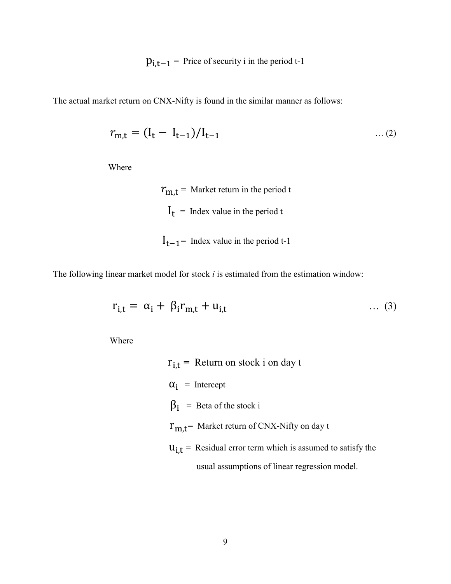$p_{i,t-1}$  = Price of security i in the period t-1

The actual market return on CNX-Nifty is found in the similar manner as follows:

$$
r_{m,t} = (I_t - I_{t-1})/I_{t-1} \tag{2}
$$

Where

 $r_{\rm i}$  $r_{m,t}$  = Market return in the period t  $I_t$  = Index value in the period t  $I_{t-1}$  Index value in the period t-1

The following linear market model for stock  $i$  is estimated from the estimation window:

$$
r_{i,t} = \alpha_i + \beta_i r_{m,t} + u_{i,t} \qquad \qquad \dots (3)
$$

Where

 $r_{i,t}$  = Return on stock i on day t  $\alpha_i$  = Intercept  $\beta_i$  $\beta_i$  = Beta of the stock i  $r_{m,t}$  Market return of CNX-Nifty on day t  $u_{i,t}$  = Residual error term which is assumed to satisfy the usual assumptions of linear regression model.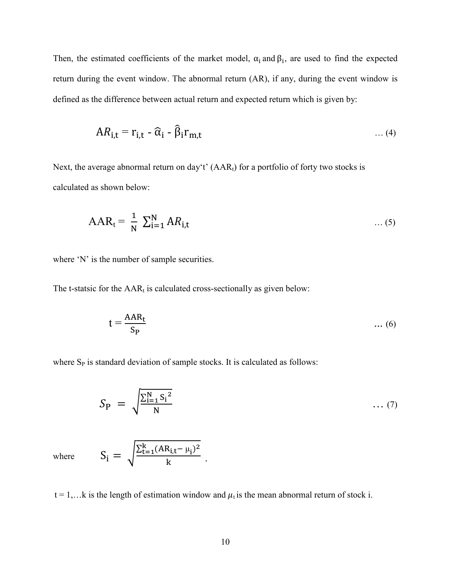Then, the estimated coefficients of the market model,  $\alpha_i$  and  $\beta_i$ , are used to find the expected return during the event window. The abnormal return (AR), if any, during the event window is defined as the difference between actual return and expected return which is given by:

$$
AR_{i,t} = r_{i,t} - \widehat{\alpha}_i - \widehat{\beta}_i r_{m,t} \qquad \qquad \dots (4)
$$

Next, the average abnormal return on day't'  $(AAR_t)$  for a portfolio of forty two stocks is calculated as shown below:

$$
AAR_t = \frac{1}{N} \sum_{i=1}^{N} AR_{i,t} \tag{5}
$$

where 'N' is the number of sample securities.

The t-statsic for the  $AAR_t$  is calculated cross-sectionally as given below:

$$
t = \frac{AAR_t}{S_P} \qquad \qquad \dots (6)
$$

where  $S_P$  is standard deviation of sample stocks. It is calculated as follows:

 $\overline{\mathbf{k}}$ ,

$$
S_{\rm P} = \sqrt{\frac{\sum_{i=1}^N S_i^2}{N}} \qquad \qquad \dots (7)
$$

where  $S_i = \sqrt{\frac{\sum_{t=1}^{k} (AR_{i,t} - \mu_i)^2}{k}}$ 

$$
t = 1, \ldots k
$$
 is the length of estimation window and  $\mu_t$  is the mean abnormal return of stock i.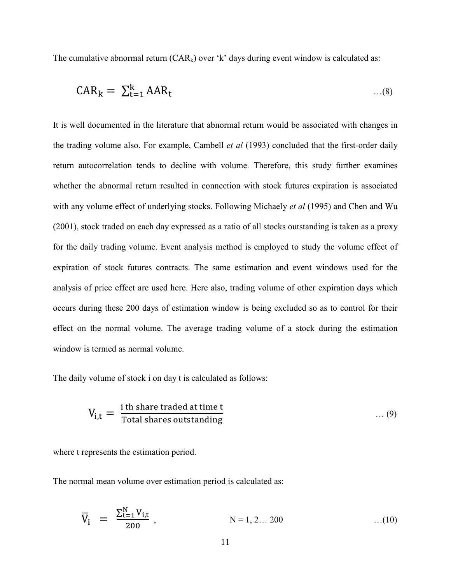The cumulative abnormal return  $(CAR_k)$  over 'k' days during event window is calculated as:

$$
CAR_k = \sum_{t=1}^k AAR_t \qquad \qquad \dots (8)
$$

It is well documented in the literature that abnormal return would be associated with changes in the trading volume also. For example, Cambell *et al* (1993) concluded that the first-order daily return autocorrelation tends to decline with volume. Therefore, this study further examines whether the abnormal return resulted in connection with stock futures expiration is associated with any volume effect of underlying stocks. Following Michaely et al (1995) and Chen and Wu (2001), stock traded on each day expressed as a ratio of all stocks outstanding is taken as a proxy for the daily trading volume. Event analysis method is employed to study the volume effect of expiration of stock futures contracts. The same estimation and event windows used for the analysis of price effect are used here. Here also, trading volume of other expiration days which occurs during these 200 days of estimation window is being excluded so as to control for their effect on the normal volume. The average trading volume of a stock during the estimation window is termed as normal volume.

The daily volume of stock i on day t is calculated as follows:

$$
V_{i,t} = \frac{i \text{ th share traded at time t}}{\text{Total shares outstanding}} \qquad \qquad \dots (9)
$$

where t represents the estimation period.

The normal mean volume over estimation period is calculated as:

$$
\overline{V}_{i} = \frac{\sum_{t=1}^{N} V_{i,t}}{200}, \qquad N = 1, 2... 200 \qquad ...(10)
$$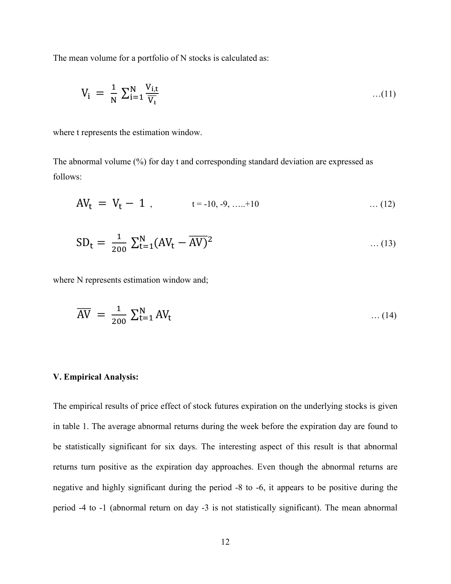The mean volume for a portfolio of N stocks is calculated as:

$$
V_i = \frac{1}{N} \sum_{i=1}^{N} \frac{V_{i,t}}{\overline{V}_i} \qquad \qquad \dots (11)
$$

where t represents the estimation window.

The abnormal volume (%) for day t and corresponding standard deviation are expressed as follows:

$$
AV_t = V_t - 1, \qquad t = -10, -9, \dots + 10 \qquad \dots (12)
$$

$$
SD_{t} = \frac{1}{200} \sum_{t=1}^{N} (AV_{t} - \overline{AV})^{2} \qquad \qquad \dots (13)
$$

where N represents estimation window and;

$$
\overline{\text{AV}} = \frac{1}{200} \sum_{t=1}^{N} \text{AV}_t \tag{14}
$$

#### V. Empirical Analysis:

The empirical results of price effect of stock futures expiration on the underlying stocks is given in table 1. The average abnormal returns during the week before the expiration day are found to be statistically significant for six days. The interesting aspect of this result is that abnormal returns turn positive as the expiration day approaches. Even though the abnormal returns are negative and highly significant during the period -8 to -6, it appears to be positive during the period -4 to -1 (abnormal return on day -3 is not statistically significant). The mean abnormal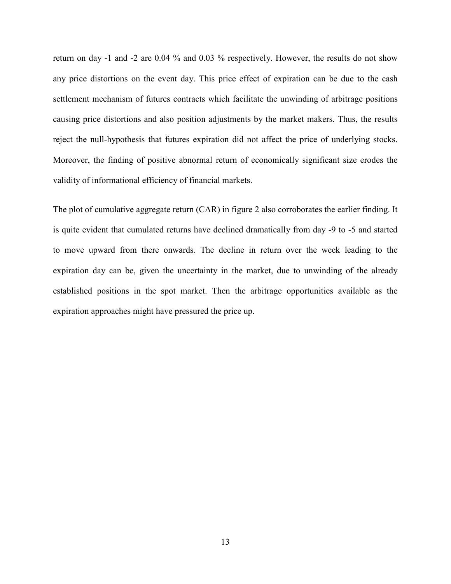return on day -1 and -2 are 0.04 % and 0.03 % respectively. However, the results do not show any price distortions on the event day. This price effect of expiration can be due to the cash settlement mechanism of futures contracts which facilitate the unwinding of arbitrage positions causing price distortions and also position adjustments by the market makers. Thus, the results reject the null-hypothesis that futures expiration did not affect the price of underlying stocks. Moreover, the finding of positive abnormal return of economically significant size erodes the validity of informational efficiency of financial markets.

The plot of cumulative aggregate return (CAR) in figure 2 also corroborates the earlier finding. It is quite evident that cumulated returns have declined dramatically from day -9 to -5 and started to move upward from there onwards. The decline in return over the week leading to the expiration day can be, given the uncertainty in the market, due to unwinding of the already established positions in the spot market. Then the arbitrage opportunities available as the expiration approaches might have pressured the price up.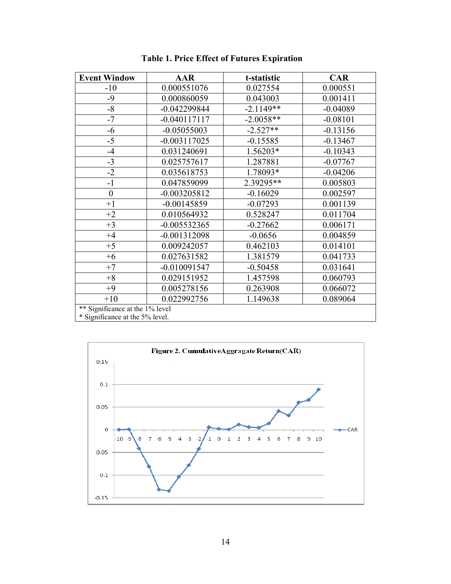| <b>Event Window</b>             | <b>AAR</b>     | t-statistic | <b>CAR</b> |  |
|---------------------------------|----------------|-------------|------------|--|
| $-10$                           | 0.000551076    | 0.027554    | 0.000551   |  |
| $-9$                            | 0.000860059    | 0.043003    | 0.001411   |  |
| $-8$                            | $-0.042299844$ | $-2.1149**$ | $-0.04089$ |  |
| $-7$                            | $-0.040117117$ | $-2.0058**$ | $-0.08101$ |  |
| $-6$                            | $-0.05055003$  | $-2.527**$  | $-0.13156$ |  |
| $-5$                            | $-0.003117025$ | $-0.15585$  | $-0.13467$ |  |
| $-4$                            | 0.031240691    | 1.56203*    | $-0.10343$ |  |
| $-3$                            | 0.025757617    | 1.287881    | $-0.07767$ |  |
| $-2$                            | 0.035618753    | 1.78093*    | $-0.04206$ |  |
| $-1$                            | 0.047859099    | 2.39295**   | 0.005803   |  |
| $\boldsymbol{0}$                | $-0.003205812$ | $-0.16029$  | 0.002597   |  |
| $+1$                            | $-0.00145859$  | $-0.07293$  | 0.001139   |  |
| $+2$                            | 0.010564932    | 0.528247    | 0.011704   |  |
| $+3$                            | $-0.005532365$ | $-0.27662$  | 0.006171   |  |
| $+4$                            | $-0.001312098$ | $-0.0656$   | 0.004859   |  |
| $+5$                            | 0.009242057    | 0.462103    | 0.014101   |  |
| $+6$                            | 0.027631582    | 1.381579    | 0.041733   |  |
| $+7$                            | $-0.010091547$ | $-0.50458$  | 0.031641   |  |
| $+8$                            | 0.029151952    | 1.457598    | 0.060793   |  |
| $+9$                            | 0.005278156    | 0.263908    | 0.066072   |  |
| $+10$                           | 0.022992756    | 1.149638    | 0.089064   |  |
| ** Significance at the 1% level |                |             |            |  |
| * Significance at the 5% level. |                |             |            |  |

Table 1 Table 1. Price Effect of Futures Expiration

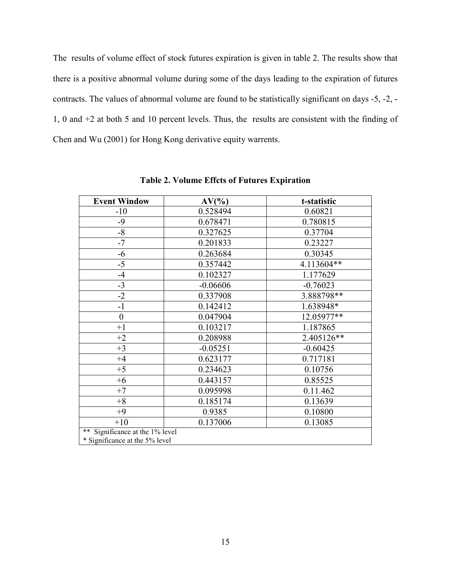The results of volume effect of stock futures expiration is given in table 2. The results show that there is a positive abnormal volume during some of the days leading to the expiration of futures contracts. The values of abnormal volume are found to be statistically significant on days -5, -2, - 1, 0 and +2 at both 5 and 10 percent levels. Thus, the results are consistent with the finding of Chen and Wu (2001) for Hong Kong derivative equity warrents.

| <b>Event Window</b>                   | $AV(\%$    | t-statistic |  |
|---------------------------------------|------------|-------------|--|
| $-10$                                 | 0.528494   | 0.60821     |  |
| $-9$                                  | 0.678471   | 0.780815    |  |
| $-8$                                  | 0.327625   | 0.37704     |  |
| $-7$                                  | 0.201833   | 0.23227     |  |
| $-6$                                  | 0.263684   | 0.30345     |  |
| $-5$                                  | 0.357442   | 4.113604**  |  |
| $-4$                                  | 0.102327   | 1.177629    |  |
| $-3$                                  | $-0.06606$ | $-0.76023$  |  |
| $-2$                                  | 0.337908   | 3.888798**  |  |
| $-1$                                  | 0.142412   | 1.638948*   |  |
| $\boldsymbol{0}$                      | 0.047904   | 12.05977**  |  |
| $+1$                                  | 0.103217   | 1.187865    |  |
| $+2$                                  | 0.208988   | 2.405126**  |  |
| $+3$                                  | $-0.05251$ | $-0.60425$  |  |
| $+4$                                  | 0.623177   | 0.717181    |  |
| $+5$                                  | 0.234623   | 0.10756     |  |
| $+6$                                  | 0.443157   | 0.85525     |  |
| $+7$                                  | 0.095998   | 0.11.462    |  |
| $+8$                                  | 0.185174   | 0.13639     |  |
| $+9$                                  | 0.9385     | 0.10800     |  |
| $+10$                                 | 0.137006   | 0.13085     |  |
| $***$<br>Significance at the 1% level |            |             |  |
| * Significance at the 5% level        |            |             |  |

Table 2. Volume Effcts of Futures Expiration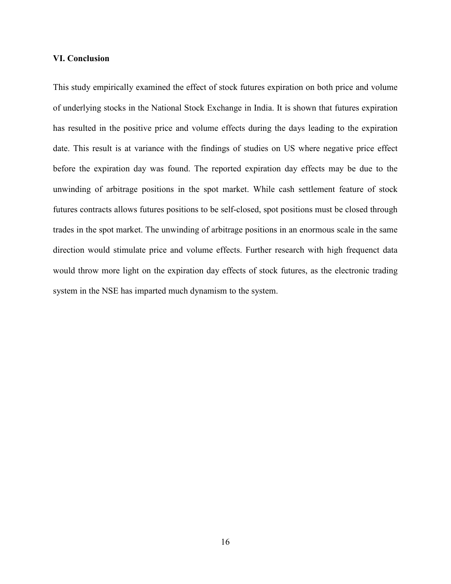#### VI. Conclusion

This study empirically examined the effect of stock futures expiration on both price and volume of underlying stocks in the National Stock Exchange in India. It is shown that futures expiration has resulted in the positive price and volume effects during the days leading to the expiration date. This result is at variance with the findings of studies on US where negative price effect before the expiration day was found. The reported expiration day effects may be due to the unwinding of arbitrage positions in the spot market. While cash settlement feature of stock futures contracts allows futures positions to be self-closed, spot positions must be closed through trades in the spot market. The unwinding of arbitrage positions in an enormous scale in the same direction would stimulate price and volume effects. Further research with high frequenct data would throw more light on the expiration day effects of stock futures, as the electronic trading system in the NSE has imparted much dynamism to the system.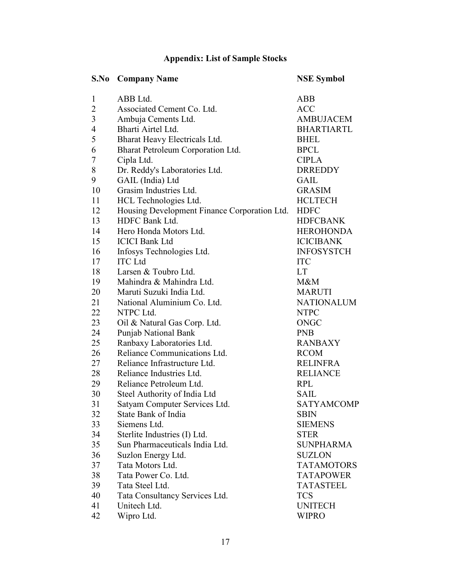## Appendix: List of Sample Stocks

| <b>Company Name</b>                          | <b>NSE Symbol</b>             |
|----------------------------------------------|-------------------------------|
| ABB Ltd.                                     | <b>ABB</b>                    |
| Associated Cement Co. Ltd.                   | <b>ACC</b>                    |
| Ambuja Cements Ltd.                          | <b>AMBUJACEM</b>              |
| Bharti Airtel Ltd.                           | <b>BHARTIARTL</b>             |
| Bharat Heavy Electricals Ltd.                | <b>BHEL</b>                   |
| Bharat Petroleum Corporation Ltd.            | <b>BPCL</b>                   |
| Cipla Ltd.                                   | <b>CIPLA</b>                  |
|                                              | <b>DRREDDY</b>                |
| GAIL (India) Ltd                             | <b>GAIL</b>                   |
| Grasim Industries Ltd.                       | <b>GRASIM</b>                 |
| HCL Technologies Ltd.                        | <b>HCLTECH</b>                |
| Housing Development Finance Corporation Ltd. | <b>HDFC</b>                   |
| HDFC Bank Ltd.                               | <b>HDFCBANK</b>               |
| Hero Honda Motors Ltd.                       | <b>HEROHONDA</b>              |
| <b>ICICI Bank Ltd</b>                        | <b>ICICIBANK</b>              |
| Infosys Technologies Ltd.                    | <b>INFOSYSTCH</b>             |
| <b>ITC</b> Ltd                               | <b>ITC</b>                    |
| Larsen & Toubro Ltd.                         | LT                            |
| Mahindra & Mahindra Ltd.                     | $M\&M$                        |
| Maruti Suzuki India Ltd.                     | <b>MARUTI</b>                 |
| National Aluminium Co. Ltd.                  | <b>NATIONALUM</b>             |
| NTPC Ltd.                                    | <b>NTPC</b>                   |
| Oil & Natural Gas Corp. Ltd.                 | ONGC                          |
| Punjab National Bank                         | <b>PNB</b>                    |
| Ranbaxy Laboratories Ltd.                    | <b>RANBAXY</b>                |
| Reliance Communications Ltd.                 | <b>RCOM</b>                   |
| Reliance Infrastructure Ltd.                 | <b>RELINFRA</b>               |
| Reliance Industries Ltd.                     | <b>RELIANCE</b>               |
| Reliance Petroleum Ltd.                      | <b>RPL</b>                    |
| Steel Authority of India Ltd                 | <b>SAIL</b>                   |
| Satyam Computer Services Ltd.                | <b>SATYAMCOMP</b>             |
| State Bank of India                          | <b>SBIN</b>                   |
| Siemens Ltd.                                 | <b>SIEMENS</b>                |
| Sterlite Industries (I) Ltd.                 | <b>STER</b>                   |
| Sun Pharmaceuticals India Ltd.               | <b>SUNPHARMA</b>              |
| Suzlon Energy Ltd.                           | <b>SUZLON</b>                 |
| Tata Motors Ltd.                             | <b>TATAMOTORS</b>             |
| Tata Power Co. Ltd.                          | <b>TATAPOWER</b>              |
| Tata Steel Ltd.                              | <b>TATASTEEL</b>              |
| Tata Consultancy Services Ltd.               | <b>TCS</b>                    |
| Unitech Ltd.                                 | <b>UNITECH</b>                |
| Wipro Ltd.                                   | <b>WIPRO</b>                  |
|                                              | Dr. Reddy's Laboratories Ltd. |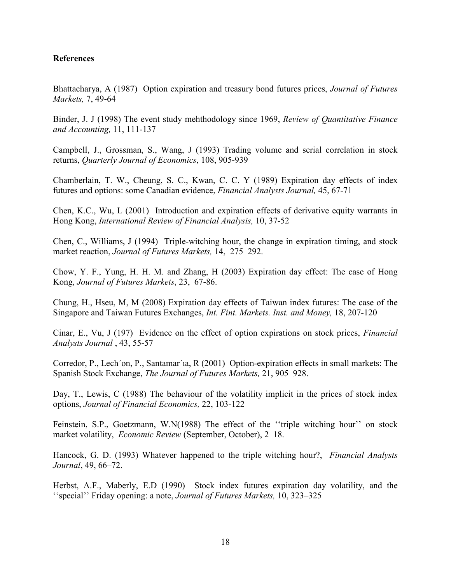### **References**

Bhattacharya, A (1987) Option expiration and treasury bond futures prices, *Journal of Futures* Markets, 7, 49-64

Binder, J. J (1998) The event study mehthodology since 1969, Review of Quantitative Finance and Accounting, 11, 111-137

Campbell, J., Grossman, S., Wang, J (1993) Trading volume and serial correlation in stock returns, Quarterly Journal of Economics, 108, 905-939

Chamberlain, T. W., Cheung, S. C., Kwan, C. C. Y (1989) Expiration day effects of index futures and options: some Canadian evidence, Financial Analysts Journal, 45, 67-71

Chen, K.C., Wu, L (2001) Introduction and expiration effects of derivative equity warrants in Hong Kong, International Review of Financial Analysis, 10, 37-52

Chen, C., Williams, J (1994) Triple-witching hour, the change in expiration timing, and stock market reaction, Journal of Futures Markets, 14, 275–292.

Chow, Y. F., Yung, H. H. M. and Zhang, H (2003) Expiration day effect: The case of Hong Kong, Journal of Futures Markets, 23, 67-86.

Chung, H., Hseu, M, M (2008) Expiration day effects of Taiwan index futures: The case of the Singapore and Taiwan Futures Exchanges, Int. Fint. Markets. Inst. and Money, 18, 207-120

Cinar, E., Vu, J (197) Evidence on the effect of option expirations on stock prices, Financial Analysts Journal , 43, 55-57

Corredor, P., Lech´on, P., Santamar´ıa, R (2001) Option-expiration effects in small markets: The Spanish Stock Exchange, The Journal of Futures Markets, 21, 905–928.

Day, T., Lewis, C (1988) The behaviour of the volatility implicit in the prices of stock index options, Journal of Financial Economics, 22, 103-122

Feinstein, S.P., Goetzmann, W.N(1988) The effect of the ''triple witching hour'' on stock market volatility, Economic Review (September, October), 2–18.

Hancock, G. D. (1993) Whatever happened to the triple witching hour?, *Financial Analysts* Journal, 49, 66–72.

Herbst, A.F., Maberly, E.D (1990) Stock index futures expiration day volatility, and the ''special'' Friday opening: a note, Journal of Futures Markets, 10, 323–325